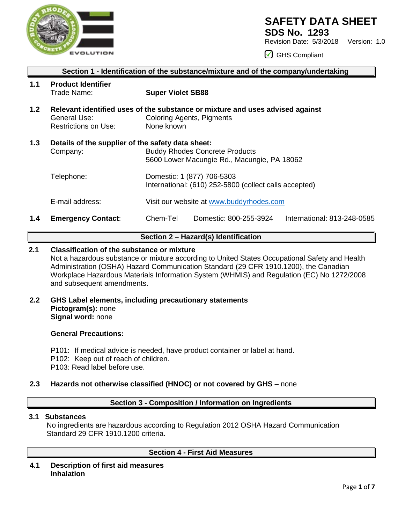

## **SAFETY DATA SHEET**

**SDS No. 1293**

Revision Date: 5/3/2018 Version: 1.0

GHS Compliant

|                  | Section 1 - Identification of the substance/mixture and of the company/undertaking |                                                                                                                                                                              |  |  |  |  |  |
|------------------|------------------------------------------------------------------------------------|------------------------------------------------------------------------------------------------------------------------------------------------------------------------------|--|--|--|--|--|
| 1.1              | <b>Product Identifier</b><br>Trade Name:                                           | <b>Super Violet SB88</b>                                                                                                                                                     |  |  |  |  |  |
| 1.2 <sub>2</sub> | General Use:<br><b>Restrictions on Use:</b>                                        | Relevant identified uses of the substance or mixture and uses advised against<br><b>Coloring Agents, Pigments</b><br>None known                                              |  |  |  |  |  |
| 1.3              | Details of the supplier of the safety data sheet:<br>Company:                      | <b>Buddy Rhodes Concrete Products</b><br>5600 Lower Macungie Rd., Macungie, PA 18062<br>Domestic: 1 (877) 706-5303<br>International: (610) 252-5800 (collect calls accepted) |  |  |  |  |  |
|                  | Telephone:                                                                         |                                                                                                                                                                              |  |  |  |  |  |
|                  | E-mail address:                                                                    | Visit our website at www.buddyrhodes.com                                                                                                                                     |  |  |  |  |  |
| 1.4              | <b>Emergency Contact:</b>                                                          | Chem-Tel<br>International: 813-248-0585<br>Domestic: 800-255-3924                                                                                                            |  |  |  |  |  |

## **Section 2 – Hazard(s) Identification**

## **2.1 Classification of the substance or mixture**

Not a hazardous substance or mixture according to United States Occupational Safety and Health Administration (OSHA) Hazard Communication Standard (29 CFR 1910.1200), the Canadian Workplace Hazardous Materials Information System (WHMIS) and Regulation (EC) No 1272/2008 and subsequent amendments.

## **2.2 GHS Label elements, including precautionary statements Pictogram(s):** none **Signal word:** none

#### **General Precautions:**

- P101: If medical advice is needed, have product container or label at hand.
- P102: Keep out of reach of children.
- P103: Read label before use.

## **2.3 Hazards not otherwise classified (HNOC) or not covered by GHS** – none

#### **Section 3 - Composition / Information on Ingredients**

#### **3.1 Substances**

 No ingredients are hazardous according to Regulation 2012 OSHA Hazard Communication Standard 29 CFR 1910.1200 criteria.

## **Section 4 - First Aid Measures**

**4.1 Description of first aid measures Inhalation**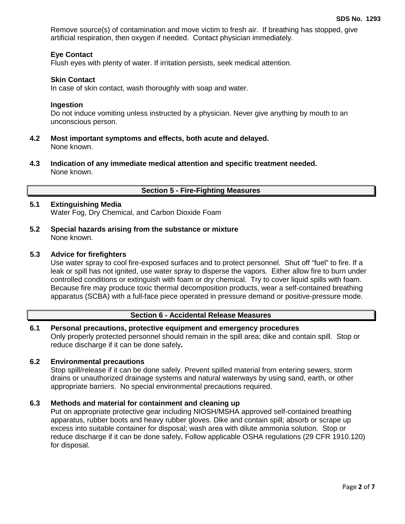Remove source(s) of contamination and move victim to fresh air. If breathing has stopped, give artificial respiration, then oxygen if needed. Contact physician immediately.

## **Eye Contact**

Flush eyes with plenty of water. If irritation persists, seek medical attention.

#### **Skin Contact**

In case of skin contact, wash thoroughly with soap and water.

#### **Ingestion**

Do not induce vomiting unless instructed by a physician. Never give anything by mouth to an unconscious person.

- **4.2 Most important symptoms and effects, both acute and delayed.** None known.
- **4.3 Indication of any immediate medical attention and specific treatment needed.** None known.

## **Section 5 - Fire-Fighting Measures**

## **5.1 Extinguishing Media**

Water Fog, Dry Chemical, and Carbon Dioxide Foam

**5.2 Special hazards arising from the substance or mixture** None known.

#### **5.3 Advice for firefighters**

Use water spray to cool fire-exposed surfaces and to protect personnel. Shut off "fuel" to fire. If a leak or spill has not ignited, use water spray to disperse the vapors. Either allow fire to burn under controlled conditions or extinguish with foam or dry chemical. Try to cover liquid spills with foam. Because fire may produce toxic thermal decomposition products, wear a self-contained breathing apparatus (SCBA) with a full-face piece operated in pressure demand or positive-pressure mode.

#### **Section 6 - Accidental Release Measures**

#### **6.1 Personal precautions, protective equipment and emergency procedures** Only properly protected personnel should remain in the spill area; dike and contain spill. Stop or reduce discharge if it can be done safely**.**

#### **6.2 Environmental precautions**

Stop spill/release if it can be done safely. Prevent spilled material from entering sewers, storm drains or unauthorized drainage systems and natural waterways by using sand, earth, or other appropriate barriers.No special environmental precautions required.

#### **6.3 Methods and material for containment and cleaning up**

Put on appropriate protective gear including NIOSH/MSHA approved self-contained breathing apparatus, rubber boots and heavy rubber gloves. Dike and contain spill; absorb or scrape up excess into suitable container for disposal; wash area with dilute ammonia solution. Stop or reduce discharge if it can be done safely**.** Follow applicable OSHA regulations (29 CFR 1910.120) for disposal.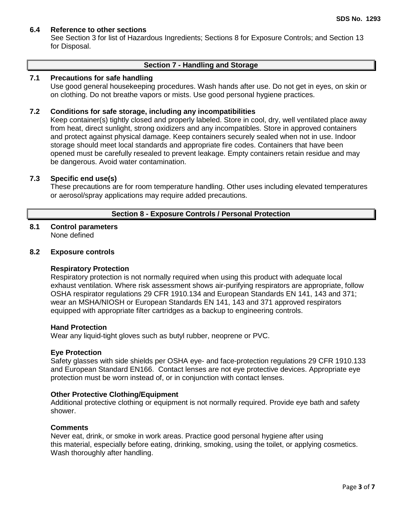## **6.4 Reference to other sections**

See Section 3 for list of Hazardous Ingredients; Sections 8 for Exposure Controls; and Section 13 for Disposal.

#### **Section 7 - Handling and Storage**

#### **7.1 Precautions for safe handling**

Use good general housekeeping procedures. Wash hands after use. Do not get in eyes, on skin or on clothing. Do not breathe vapors or mists. Use good personal hygiene practices.

#### **7.2 Conditions for safe storage, including any incompatibilities**

Keep container(s) tightly closed and properly labeled. Store in cool, dry, well ventilated place away from heat, direct sunlight, strong oxidizers and any incompatibles. Store in approved containers and protect against physical damage. Keep containers securely sealed when not in use. Indoor storage should meet local standards and appropriate fire codes. Containers that have been opened must be carefully resealed to prevent leakage. Empty containers retain residue and may be dangerous. Avoid water contamination.

## **7.3 Specific end use(s)**

These precautions are for room temperature handling. Other uses including elevated temperatures or aerosol/spray applications may require added precautions.

#### **Section 8 - Exposure Controls / Personal Protection**

#### **8.1 Control parameters** None defined

#### **8.2 Exposure controls**

#### **Respiratory Protection**

Respiratory protection is not normally required when using this product with adequate local exhaust ventilation. Where risk assessment shows air-purifying respirators are appropriate, follow OSHA respirator regulations 29 CFR 1910.134 and European Standards EN 141, 143 and 371; wear an MSHA/NIOSH or European Standards EN 141, 143 and 371 approved respirators equipped with appropriate filter cartridges as a backup to engineering controls.

#### **Hand Protection**

Wear any liquid-tight gloves such as butyl rubber, neoprene or PVC.

#### **Eye Protection**

Safety glasses with side shields per OSHA eye- and face-protection regulations 29 CFR 1910.133 and European Standard EN166. Contact lenses are not eye protective devices. Appropriate eye protection must be worn instead of, or in conjunction with contact lenses.

#### **Other Protective Clothing/Equipment**

Additional protective clothing or equipment is not normally required. Provide eye bath and safety shower.

#### **Comments**

Never eat, drink, or smoke in work areas. Practice good personal hygiene after using this material, especially before eating, drinking, smoking, using the toilet, or applying cosmetics. Wash thoroughly after handling.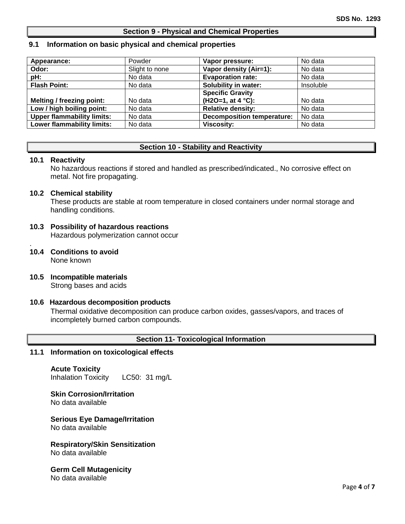#### **Section 9 - Physical and Chemical Properties**

#### **9.1 Information on basic physical and chemical properties**

| Appearance:                       | Powder         | Vapor pressure:                   | No data   |
|-----------------------------------|----------------|-----------------------------------|-----------|
| Odor:                             | Slight to none | Vapor density (Air=1):            | No data   |
| pH:                               | No data        | <b>Evaporation rate:</b>          | No data   |
| <b>Flash Point:</b>               | No data        | Solubility in water:              | Insoluble |
|                                   |                | <b>Specific Gravity</b>           |           |
| Melting / freezing point:         | No data        | $(H2O=1, at 4 °C):$               | No data   |
| Low / high boiling point:         | No data        | <b>Relative density:</b>          | No data   |
| <b>Upper flammability limits:</b> | No data        | <b>Decomposition temperature:</b> | No data   |
| <b>Lower flammability limits:</b> | No data        | <b>Viscosity:</b>                 | No data   |

#### **Section 10 - Stability and Reactivity**

#### **10.1 Reactivity**

No hazardous reactions if stored and handled as prescribed/indicated., No corrosive effect on metal. Not fire propagating.

#### **10.2 Chemical stability**

These products are stable at room temperature in closed containers under normal storage and handling conditions.

#### **10.3 Possibility of hazardous reactions** Hazardous polymerization cannot occur

- . **10.4 Conditions to avoid** None known
- **10.5 Incompatible materials** Strong bases and acids

#### **10.6 Hazardous decomposition products**

Thermal oxidative decomposition can produce carbon oxides, gasses/vapors, and traces of incompletely burned carbon compounds.

#### **Section 11- Toxicological Information**

#### **11.1 Information on toxicological effects**

**Acute Toxicity** Inhalation Toxicity LC50: 31 mg/L

#### **Skin Corrosion/Irritation** No data available

**Serious Eye Damage/Irritation** No data available

# **Respiratory/Skin Sensitization**

No data available

#### **Germ Cell Mutagenicity** No data available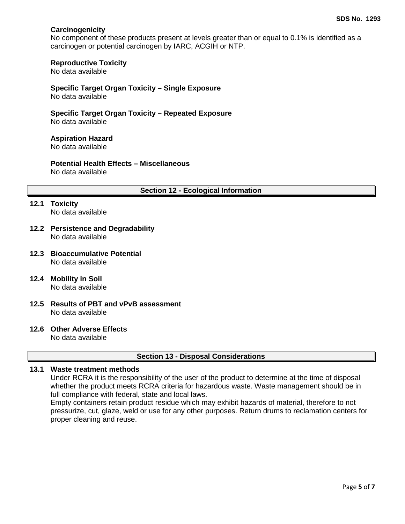## **Carcinogenicity**

No component of these products present at levels greater than or equal to 0.1% is identified as a carcinogen or potential carcinogen by IARC, ACGIH or NTP.

#### **Reproductive Toxicity**

No data available

## **Specific Target Organ Toxicity – Single Exposure**

No data available

#### **Specific Target Organ Toxicity – Repeated Exposure** No data available

**Aspiration Hazard**

No data available

## **Potential Health Effects – Miscellaneous**

No data available

#### **Section 12 - Ecological Information**

- **12.1 Toxicity** No data available
- **12.2 Persistence and Degradability** No data available
- **12.3 Bioaccumulative Potential** No data available
- **12.4 Mobility in Soil** No data available
- **12.5 Results of PBT and vPvB assessment** No data available
- **12.6 Other Adverse Effects**

No data available

#### **Section 13 - Disposal Considerations**

## **13.1 Waste treatment methods**

Under RCRA it is the responsibility of the user of the product to determine at the time of disposal whether the product meets RCRA criteria for hazardous waste. Waste management should be in full compliance with federal, state and local laws.

Empty containers retain product residue which may exhibit hazards of material, therefore to not pressurize, cut, glaze, weld or use for any other purposes. Return drums to reclamation centers for proper cleaning and reuse.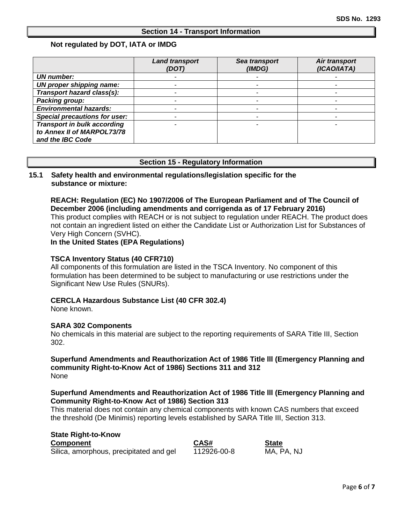#### **Section 14 - Transport Information**

#### **Not regulated by DOT, IATA or IMDG**

|                                      | <b>Land transport</b><br>(DOT) | Sea transport<br>(IMDG) | Air transport<br>(ICAO/IATA) |
|--------------------------------------|--------------------------------|-------------------------|------------------------------|
| <b>UN number:</b>                    |                                |                         |                              |
| UN proper shipping name:             |                                |                         |                              |
| Transport hazard class(s):           |                                |                         |                              |
| Packing group:                       |                                |                         |                              |
| <b>Environmental hazards:</b>        |                                |                         |                              |
| <b>Special precautions for user:</b> |                                |                         |                              |
| <b>Transport in bulk according</b>   |                                |                         |                              |
| to Annex II of MARPOL73/78           |                                |                         |                              |
| and the IBC Code                     |                                |                         |                              |

#### **Section 15 - Regulatory Information**

## **15.1 Safety health and environmental regulations/legislation specific for the substance or mixture:**

## **REACH: Regulation (EC) No 1907/2006 of The European Parliament and of The Council of December 2006 (including amendments and corrigenda as of 17 February 2016)**

This product complies with REACH or is not subject to regulation under REACH. The product does not contain an ingredient listed on either the Candidate List or Authorization List for Substances of Very High Concern (SVHC).

**In the United States (EPA Regulations)**

#### **TSCA Inventory Status (40 CFR710)**

All components of this formulation are listed in the TSCA Inventory. No component of this formulation has been determined to be subject to manufacturing or use restrictions under the Significant New Use Rules (SNURs).

#### **CERCLA Hazardous Substance List (40 CFR 302.4)**

None known.

#### **SARA 302 Components**

No chemicals in this material are subject to the reporting requirements of SARA Title III, Section 302.

#### **Superfund Amendments and Reauthorization Act of 1986 Title lll (Emergency Planning and community Right-to-Know Act of 1986) Sections 311 and 312** None

#### **Superfund Amendments and Reauthorization Act of 1986 Title lll (Emergency Planning and Community Right-to-Know Act of 1986) Section 313**

This material does not contain any chemical components with known CAS numbers that exceed the threshold (De Minimis) reporting levels established by SARA Title III, Section 313.

#### **State Right-to-Know**

| <b>Component</b>                        | CAS#        | <b>State</b> |
|-----------------------------------------|-------------|--------------|
| Silica, amorphous, precipitated and gel | 112926-00-8 | MA, PA, NJ   |